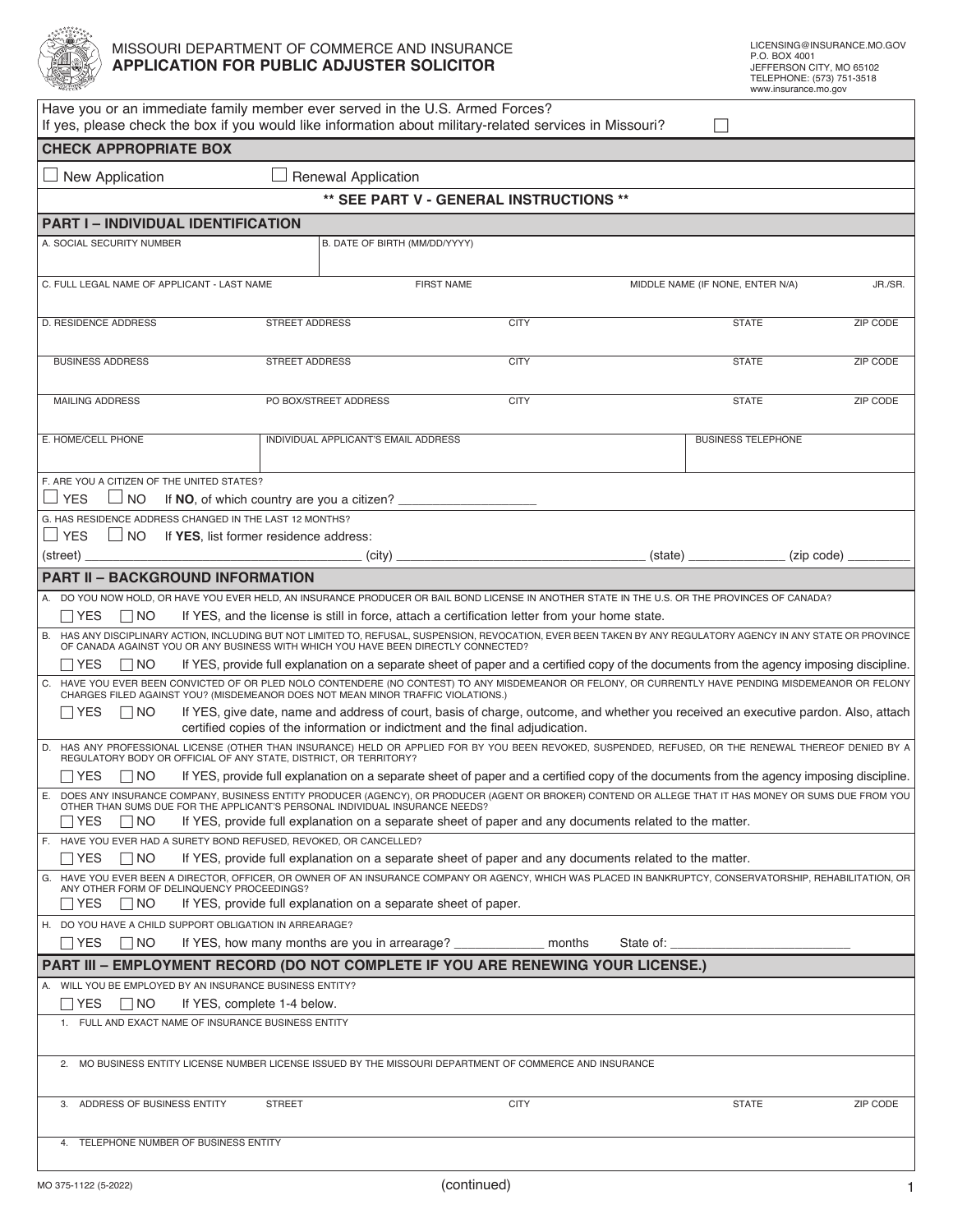

## MISSOURI DEPARTMENT OF COMMERCE AND INSURANCE **APPLICATION FOR PUBLIC ADJUSTER SOLICITOR**

| Have you or an immediate family member ever served in the U.S. Armed Forces?<br>If yes, please check the box if you would like information about military-related services in Missouri?                                                                |                                                                                                                                                                              |                   |           |                                  |          |  |  |  |  |  |  |
|--------------------------------------------------------------------------------------------------------------------------------------------------------------------------------------------------------------------------------------------------------|------------------------------------------------------------------------------------------------------------------------------------------------------------------------------|-------------------|-----------|----------------------------------|----------|--|--|--|--|--|--|
| <b>CHECK APPROPRIATE BOX</b>                                                                                                                                                                                                                           |                                                                                                                                                                              |                   |           |                                  |          |  |  |  |  |  |  |
| New Application                                                                                                                                                                                                                                        | <b>Renewal Application</b>                                                                                                                                                   |                   |           |                                  |          |  |  |  |  |  |  |
| ** SEE PART V - GENERAL INSTRUCTIONS **                                                                                                                                                                                                                |                                                                                                                                                                              |                   |           |                                  |          |  |  |  |  |  |  |
| <b>PART I - INDIVIDUAL IDENTIFICATION</b>                                                                                                                                                                                                              |                                                                                                                                                                              |                   |           |                                  |          |  |  |  |  |  |  |
| A. SOCIAL SECURITY NUMBER                                                                                                                                                                                                                              | B. DATE OF BIRTH (MM/DD/YYYY)                                                                                                                                                |                   |           |                                  |          |  |  |  |  |  |  |
|                                                                                                                                                                                                                                                        |                                                                                                                                                                              |                   |           |                                  |          |  |  |  |  |  |  |
| C. FULL LEGAL NAME OF APPLICANT - LAST NAME                                                                                                                                                                                                            |                                                                                                                                                                              | <b>FIRST NAME</b> |           | MIDDLE NAME (IF NONE, ENTER N/A) |          |  |  |  |  |  |  |
| D. RESIDENCE ADDRESS                                                                                                                                                                                                                                   | <b>STREET ADDRESS</b>                                                                                                                                                        | <b>CITY</b>       |           | <b>STATE</b>                     | ZIP CODE |  |  |  |  |  |  |
|                                                                                                                                                                                                                                                        |                                                                                                                                                                              |                   |           |                                  |          |  |  |  |  |  |  |
| <b>BUSINESS ADDRESS</b>                                                                                                                                                                                                                                | <b>STREET ADDRESS</b>                                                                                                                                                        | <b>CITY</b>       |           | <b>STATE</b>                     | ZIP CODE |  |  |  |  |  |  |
|                                                                                                                                                                                                                                                        |                                                                                                                                                                              |                   |           |                                  |          |  |  |  |  |  |  |
| <b>MAILING ADDRESS</b>                                                                                                                                                                                                                                 | PO BOX/STREET ADDRESS                                                                                                                                                        | <b>CITY</b>       |           | <b>STATE</b>                     | ZIP CODE |  |  |  |  |  |  |
| E. HOME/CELL PHONE                                                                                                                                                                                                                                     | INDIVIDUAL APPLICANT'S EMAIL ADDRESS                                                                                                                                         |                   |           | <b>BUSINESS TELEPHONE</b>        |          |  |  |  |  |  |  |
|                                                                                                                                                                                                                                                        |                                                                                                                                                                              |                   |           |                                  |          |  |  |  |  |  |  |
| F. ARE YOU A CITIZEN OF THE UNITED STATES?                                                                                                                                                                                                             |                                                                                                                                                                              |                   |           |                                  |          |  |  |  |  |  |  |
| $\sqcup$ YES<br>⊿ NO<br>G. HAS RESIDENCE ADDRESS CHANGED IN THE LAST 12 MONTHS?                                                                                                                                                                        | If NO, of which country are you a citizen?                                                                                                                                   |                   |           |                                  |          |  |  |  |  |  |  |
| $\sqcup$ YES<br>$\Box$ NO                                                                                                                                                                                                                              | If YES, list former residence address:                                                                                                                                       |                   |           |                                  |          |  |  |  |  |  |  |
| (street)                                                                                                                                                                                                                                               | (city)                                                                                                                                                                       |                   | (state)   | (zip code)                       |          |  |  |  |  |  |  |
| <b>PART II - BACKGROUND INFORMATION</b>                                                                                                                                                                                                                |                                                                                                                                                                              |                   |           |                                  |          |  |  |  |  |  |  |
| A. DO YOU NOW HOLD, OR HAVE YOU EVER HELD, AN INSURANCE PRODUCER OR BAIL BOND LICENSE IN ANOTHER STATE IN THE U.S. OR THE PROVINCES OF CANADA?                                                                                                         |                                                                                                                                                                              |                   |           |                                  |          |  |  |  |  |  |  |
| If YES, and the license is still in force, attach a certification letter from your home state.<br>$\Box$ YES<br>$\Box$ NO                                                                                                                              |                                                                                                                                                                              |                   |           |                                  |          |  |  |  |  |  |  |
| B. HAS ANY DISCIPLINARY ACTION, INCLUDING BUT NOT LIMITED TO, REFUSAL, SUSPENSION, REVOCATION, EVER BEEN TAKEN BY ANY REGULATORY AGENCY IN ANY STATE OR PROVINCE<br>OF CANADA AGAINST YOU OR ANY BUSINESS WITH WHICH YOU HAVE BEEN DIRECTLY CONNECTED? |                                                                                                                                                                              |                   |           |                                  |          |  |  |  |  |  |  |
| If YES, provide full explanation on a separate sheet of paper and a certified copy of the documents from the agency imposing discipline.<br>$\sqcap$ YES<br>$\Box$ No                                                                                  |                                                                                                                                                                              |                   |           |                                  |          |  |  |  |  |  |  |
| C. HAVE YOU EVER BEEN CONVICTED OF OR PLED NOLO CONTENDERE (NO CONTEST) TO ANY MISDEMEANOR OR FELONY, OR CURRENTLY HAVE PENDING MISDEMEANOR OR FELONY<br>CHARGES FILED AGAINST YOU? (MISDEMEANOR DOES NOT MEAN MINOR TRAFFIC VIOLATIONS.)              |                                                                                                                                                                              |                   |           |                                  |          |  |  |  |  |  |  |
| If YES, give date, name and address of court, basis of charge, outcome, and whether you received an executive pardon. Also, attach<br>  YES<br>$\Box$ No<br>certified copies of the information or indictment and the final adjudication.              |                                                                                                                                                                              |                   |           |                                  |          |  |  |  |  |  |  |
| D. HAS ANY PROFESSIONAL LICENSE (OTHER THAN INSURANCE) HELD OR APPLIED FOR BY YOU BEEN REVOKED, SUSPENDED, REFUSED, OR THE RENEWAL THEREOF DENIED BY A REGULATORY BODY OR OFFICIAL OF ANY STATE, DISTRICT, OR TERRITORY?                               |                                                                                                                                                                              |                   |           |                                  |          |  |  |  |  |  |  |
| If YES, provide full explanation on a separate sheet of paper and a certified copy of the documents from the agency imposing discipline.<br>$\Box$ Yes<br>$\Box$ NO                                                                                    |                                                                                                                                                                              |                   |           |                                  |          |  |  |  |  |  |  |
| Ε.<br>DOES ANY INSURANCE COMPANY, BUSINESS ENTITY PRODUCER (AGENCY), OR PRODUCER (AGENT OR BROKER) CONTEND OR ALLEGE THAT IT HAS MONEY OR SUMS DUE FROM YOU<br>OTHER THAN SUMS DUE FOR THE APPLICANT'S PERSONAL INDIVIDUAL INSURANCE NEEDS?            |                                                                                                                                                                              |                   |           |                                  |          |  |  |  |  |  |  |
| $\Box$ No<br>If YES, provide full explanation on a separate sheet of paper and any documents related to the matter.<br>∣ IYES                                                                                                                          |                                                                                                                                                                              |                   |           |                                  |          |  |  |  |  |  |  |
| $\sqcap$ YES<br>$\Box$ No                                                                                                                                                                                                                              | F. HAVE YOU EVER HAD A SURETY BOND REFUSED, REVOKED, OR CANCELLED?<br>If YES, provide full explanation on a separate sheet of paper and any documents related to the matter. |                   |           |                                  |          |  |  |  |  |  |  |
| G. HAVE YOU EVER BEEN A DIRECTOR, OFFICER, OR OWNER OF AN INSURANCE COMPANY OR AGENCY, WHICH WAS PLACED IN BANKRUPTCY, CONSERVATORSHIP, REHABILITATION, OR                                                                                             |                                                                                                                                                                              |                   |           |                                  |          |  |  |  |  |  |  |
| ANY OTHER FORM OF DELINQUENCY PROCEEDINGS?<br>$\sqcap$ Yes<br>    NO                                                                                                                                                                                   | If YES, provide full explanation on a separate sheet of paper.                                                                                                               |                   |           |                                  |          |  |  |  |  |  |  |
| H. DO YOU HAVE A CHILD SUPPORT OBLIGATION IN ARREARAGE?                                                                                                                                                                                                |                                                                                                                                                                              |                   |           |                                  |          |  |  |  |  |  |  |
| $\Box$ NO<br>  YES                                                                                                                                                                                                                                     | If YES, how many months are you in arrearage?                                                                                                                                | months            | State of: |                                  |          |  |  |  |  |  |  |
| PART III - EMPLOYMENT RECORD (DO NOT COMPLETE IF YOU ARE RENEWING YOUR LICENSE.)<br>A. WILL YOU BE EMPLOYED BY AN INSURANCE BUSINESS ENTITY?                                                                                                           |                                                                                                                                                                              |                   |           |                                  |          |  |  |  |  |  |  |
| $\Box$ YES<br>$\Box$ NO                                                                                                                                                                                                                                | If YES, complete 1-4 below.                                                                                                                                                  |                   |           |                                  |          |  |  |  |  |  |  |
| 1. FULL AND EXACT NAME OF INSURANCE BUSINESS ENTITY                                                                                                                                                                                                    |                                                                                                                                                                              |                   |           |                                  |          |  |  |  |  |  |  |
|                                                                                                                                                                                                                                                        |                                                                                                                                                                              |                   |           |                                  |          |  |  |  |  |  |  |
| 2. MO BUSINESS ENTITY LICENSE NUMBER LICENSE ISSUED BY THE MISSOURI DEPARTMENT OF COMMERCE AND INSURANCE                                                                                                                                               |                                                                                                                                                                              |                   |           |                                  |          |  |  |  |  |  |  |
| 3. ADDRESS OF BUSINESS ENTITY                                                                                                                                                                                                                          | <b>STREET</b>                                                                                                                                                                | <b>CITY</b>       |           | <b>STATE</b>                     | ZIP CODE |  |  |  |  |  |  |
| TELEPHONE NUMBER OF BUSINESS ENTITY                                                                                                                                                                                                                    |                                                                                                                                                                              |                   |           |                                  |          |  |  |  |  |  |  |
|                                                                                                                                                                                                                                                        |                                                                                                                                                                              |                   |           |                                  |          |  |  |  |  |  |  |